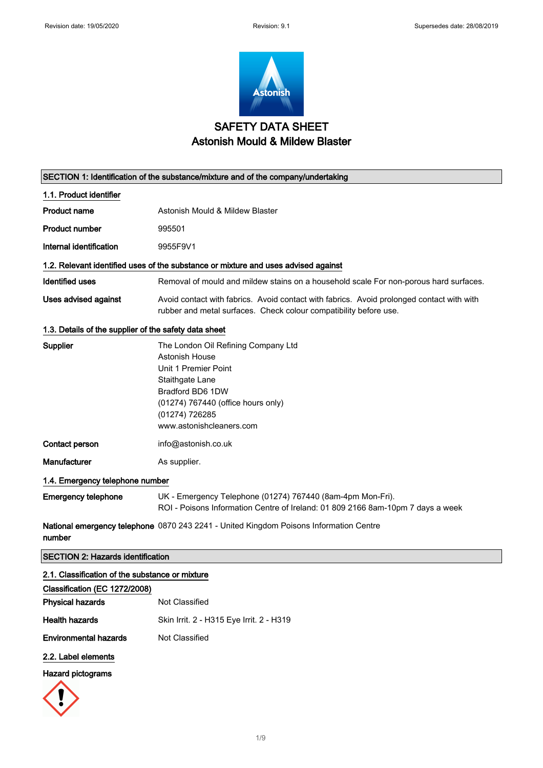

# SAFETY DATA SHEET Astonish Mould & Mildew Blaster

|                                                       | SECTION 1: Identification of the substance/mixture and of the company/undertaking                                                                                                                        |  |  |
|-------------------------------------------------------|----------------------------------------------------------------------------------------------------------------------------------------------------------------------------------------------------------|--|--|
| 1.1. Product identifier                               |                                                                                                                                                                                                          |  |  |
| <b>Product name</b>                                   | Astonish Mould & Mildew Blaster                                                                                                                                                                          |  |  |
| <b>Product number</b>                                 | 995501                                                                                                                                                                                                   |  |  |
| Internal identification                               | 9955F9V1                                                                                                                                                                                                 |  |  |
|                                                       | 1.2. Relevant identified uses of the substance or mixture and uses advised against                                                                                                                       |  |  |
| <b>Identified uses</b>                                | Removal of mould and mildew stains on a household scale For non-porous hard surfaces.                                                                                                                    |  |  |
| Uses advised against                                  | Avoid contact with fabrics. Avoid contact with fabrics. Avoid prolonged contact with with<br>rubber and metal surfaces. Check colour compatibility before use.                                           |  |  |
| 1.3. Details of the supplier of the safety data sheet |                                                                                                                                                                                                          |  |  |
| Supplier                                              | The London Oil Refining Company Ltd<br>Astonish House<br>Unit 1 Premier Point<br>Staithgate Lane<br>Bradford BD6 1DW<br>(01274) 767440 (office hours only)<br>(01274) 726285<br>www.astonishcleaners.com |  |  |
| Contact person                                        | info@astonish.co.uk                                                                                                                                                                                      |  |  |
| Manufacturer                                          | As supplier.                                                                                                                                                                                             |  |  |
| 1.4. Emergency telephone number                       |                                                                                                                                                                                                          |  |  |
| <b>Emergency telephone</b>                            | UK - Emergency Telephone (01274) 767440 (8am-4pm Mon-Fri).<br>ROI - Poisons Information Centre of Ireland: 01 809 2166 8am-10pm 7 days a week                                                            |  |  |
| number                                                | National emergency telephone 0870 243 2241 - United Kingdom Poisons Information Centre                                                                                                                   |  |  |

SECTION 2: Hazards identification

### 2.1. Classification of the substance or mixture

| Classification (EC 1272/2008) |                                          |
|-------------------------------|------------------------------------------|
| <b>Physical hazards</b>       | Not Classified                           |
| <b>Health hazards</b>         | Skin Irrit. 2 - H315 Eye Irrit. 2 - H319 |
| <b>Environmental hazards</b>  | Not Classified                           |
|                               |                                          |

2.2. Label elements

Hazard pictograms

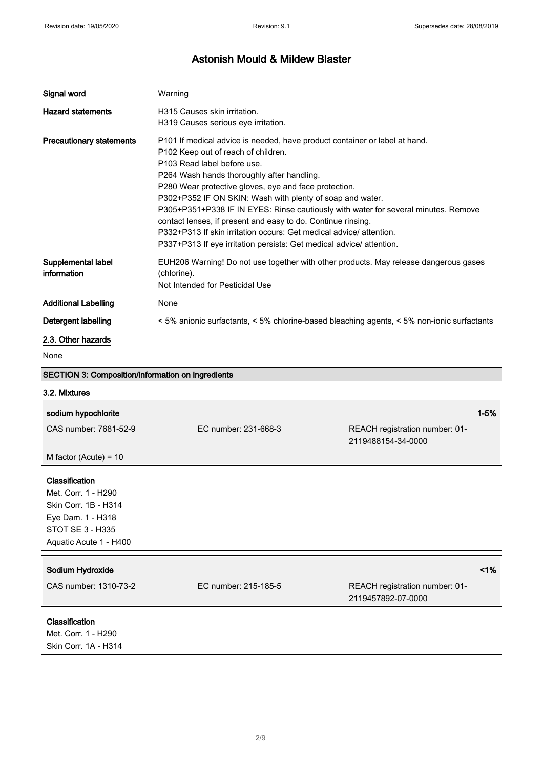| Signal word                                                                                                                      | Warning                                                                                                                                                                                                                                                                                                                                                                                                                                                                                                                                                                                                                  |                                                                                            |
|----------------------------------------------------------------------------------------------------------------------------------|--------------------------------------------------------------------------------------------------------------------------------------------------------------------------------------------------------------------------------------------------------------------------------------------------------------------------------------------------------------------------------------------------------------------------------------------------------------------------------------------------------------------------------------------------------------------------------------------------------------------------|--------------------------------------------------------------------------------------------|
| <b>Hazard statements</b>                                                                                                         | H315 Causes skin irritation.<br>H319 Causes serious eye irritation.                                                                                                                                                                                                                                                                                                                                                                                                                                                                                                                                                      |                                                                                            |
| <b>Precautionary statements</b>                                                                                                  | P101 If medical advice is needed, have product container or label at hand.<br>P102 Keep out of reach of children.<br>P103 Read label before use.<br>P264 Wash hands thoroughly after handling.<br>P280 Wear protective gloves, eye and face protection.<br>P302+P352 IF ON SKIN: Wash with plenty of soap and water.<br>P305+P351+P338 IF IN EYES: Rinse cautiously with water for several minutes. Remove<br>contact lenses, if present and easy to do. Continue rinsing.<br>P332+P313 If skin irritation occurs: Get medical advice/attention.<br>P337+P313 If eye irritation persists: Get medical advice/ attention. |                                                                                            |
| Supplemental label<br>information                                                                                                | EUH206 Warning! Do not use together with other products. May release dangerous gases<br>(chlorine).<br>Not Intended for Pesticidal Use                                                                                                                                                                                                                                                                                                                                                                                                                                                                                   |                                                                                            |
| <b>Additional Labelling</b>                                                                                                      | None                                                                                                                                                                                                                                                                                                                                                                                                                                                                                                                                                                                                                     |                                                                                            |
| Detergent labelling                                                                                                              |                                                                                                                                                                                                                                                                                                                                                                                                                                                                                                                                                                                                                          | < 5% anionic surfactants, < 5% chlorine-based bleaching agents, < 5% non-ionic surfactants |
| 2.3. Other hazards                                                                                                               |                                                                                                                                                                                                                                                                                                                                                                                                                                                                                                                                                                                                                          |                                                                                            |
| None                                                                                                                             |                                                                                                                                                                                                                                                                                                                                                                                                                                                                                                                                                                                                                          |                                                                                            |
| <b>SECTION 3: Composition/information on ingredients</b>                                                                         |                                                                                                                                                                                                                                                                                                                                                                                                                                                                                                                                                                                                                          |                                                                                            |
| 3.2. Mixtures                                                                                                                    |                                                                                                                                                                                                                                                                                                                                                                                                                                                                                                                                                                                                                          |                                                                                            |
| sodium hypochlorite                                                                                                              |                                                                                                                                                                                                                                                                                                                                                                                                                                                                                                                                                                                                                          | $1 - 5%$                                                                                   |
| CAS number: 7681-52-9                                                                                                            | EC number: 231-668-3                                                                                                                                                                                                                                                                                                                                                                                                                                                                                                                                                                                                     | REACH registration number: 01-<br>2119488154-34-0000                                       |
| M factor (Acute) = $10$                                                                                                          |                                                                                                                                                                                                                                                                                                                                                                                                                                                                                                                                                                                                                          |                                                                                            |
| Classification<br>Met. Corr. 1 - H290<br>Skin Corr. 1B - H314<br>Eye Dam. 1 - H318<br>STOT SE 3 - H335<br>Aquatic Acute 1 - H400 |                                                                                                                                                                                                                                                                                                                                                                                                                                                                                                                                                                                                                          |                                                                                            |
| Sodium Hydroxide                                                                                                                 |                                                                                                                                                                                                                                                                                                                                                                                                                                                                                                                                                                                                                          | 1%                                                                                         |
| CAS number: 1310-73-2                                                                                                            | EC number: 215-185-5                                                                                                                                                                                                                                                                                                                                                                                                                                                                                                                                                                                                     | REACH registration number: 01-<br>2119457892-07-0000                                       |
| Classification<br>Met. Corr. 1 - H290<br>Skin Corr. 1A - H314                                                                    |                                                                                                                                                                                                                                                                                                                                                                                                                                                                                                                                                                                                                          |                                                                                            |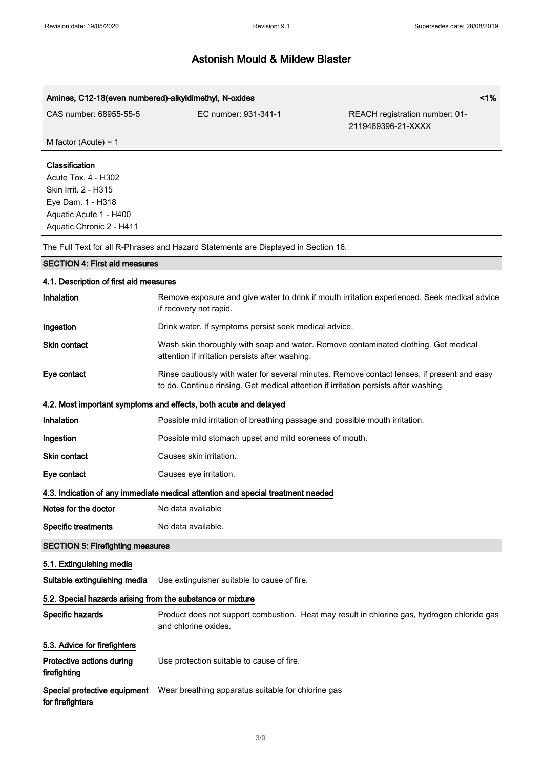|                                         | Amines, C12-18(even numbered)-alkyldimethyl, N-oxides                                | 1%                                                                                           |
|-----------------------------------------|--------------------------------------------------------------------------------------|----------------------------------------------------------------------------------------------|
| CAS number: 68955-55-5                  | EC number: 931-341-1                                                                 | REACH registration number: 01-<br>2119489396-21-XXXX                                         |
| M factor (Acute) = $1$                  |                                                                                      |                                                                                              |
| Classification                          |                                                                                      |                                                                                              |
| Acute Tox. 4 - H302                     |                                                                                      |                                                                                              |
| Skin Irrit. 2 - H315                    |                                                                                      |                                                                                              |
| Eye Dam. 1 - H318                       |                                                                                      |                                                                                              |
| Aquatic Acute 1 - H400                  |                                                                                      |                                                                                              |
| Aquatic Chronic 2 - H411                |                                                                                      |                                                                                              |
|                                         | The Full Text for all R-Phrases and Hazard Statements are Displayed in Section 16.   |                                                                                              |
| <b>SECTION 4: First aid measures</b>    |                                                                                      |                                                                                              |
| 4.1. Description of first aid measures  |                                                                                      |                                                                                              |
| Inhalation                              | if recovery not rapid.                                                               | Remove exposure and give water to drink if mouth irritation experienced. Seek medical advice |
| Ingestion                               | Drink water. If symptoms persist seek medical advice.                                |                                                                                              |
| <b>Skin contact</b>                     | attention if irritation persists after washing.                                      | Wash skin thoroughly with soap and water. Remove contaminated clothing. Get medical          |
| Eye contact                             | to do. Continue rinsing. Get medical attention if irritation persists after washing. | Rinse cautiously with water for several minutes. Remove contact lenses, if present and easy  |
|                                         | 4.2. Most important symptoms and effects, both acute and delayed                     |                                                                                              |
| Inhalation                              | Possible mild irritation of breathing passage and possible mouth irritation.         |                                                                                              |
| Ingestion                               | Possible mild stomach upset and mild soreness of mouth.                              |                                                                                              |
| <b>Skin contact</b>                     | Causes skin irritation.                                                              |                                                                                              |
| Eye contact                             | Causes eye irritation.                                                               |                                                                                              |
|                                         | 4.3. Indication of any immediate medical attention and special treatment needed      |                                                                                              |
| Notes for the doctor                    | No data avaliable                                                                    |                                                                                              |
| <b>Specific treatments</b>              | No data available.                                                                   |                                                                                              |
| <b>SECTION 5: Firefighting measures</b> |                                                                                      |                                                                                              |

### 5.1. Extinguishing media

Suitable extinguishing media Use extinguisher suitable to cause of fire.

### 5.2. Special hazards arising from the substance or mixture

| Specific hazards                                 | Product does not support combustion. Heat may result in chlorine gas, hydrogen chloride gas<br>and chlorine oxides. |
|--------------------------------------------------|---------------------------------------------------------------------------------------------------------------------|
| 5.3. Advice for firefighters                     |                                                                                                                     |
| Protective actions during<br>firefighting        | Use protection suitable to cause of fire.                                                                           |
| Special protective equipment<br>for firefighters | Wear breathing apparatus suitable for chlorine gas                                                                  |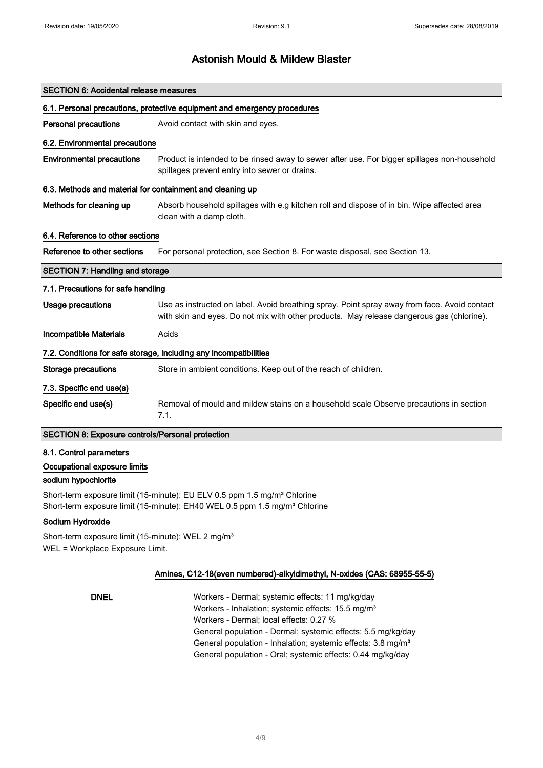|                                                                          | <b>SECTION 6: Accidental release measures</b>                                                                                                                                             |  |  |
|--------------------------------------------------------------------------|-------------------------------------------------------------------------------------------------------------------------------------------------------------------------------------------|--|--|
| 6.1. Personal precautions, protective equipment and emergency procedures |                                                                                                                                                                                           |  |  |
| <b>Personal precautions</b>                                              | Avoid contact with skin and eyes.                                                                                                                                                         |  |  |
| 6.2. Environmental precautions                                           |                                                                                                                                                                                           |  |  |
| <b>Environmental precautions</b>                                         | Product is intended to be rinsed away to sewer after use. For bigger spillages non-household<br>spillages prevent entry into sewer or drains.                                             |  |  |
| 6.3. Methods and material for containment and cleaning up                |                                                                                                                                                                                           |  |  |
| Methods for cleaning up                                                  | Absorb household spillages with e.g kitchen roll and dispose of in bin. Wipe affected area<br>clean with a damp cloth.                                                                    |  |  |
| 6.4. Reference to other sections                                         |                                                                                                                                                                                           |  |  |
| Reference to other sections                                              | For personal protection, see Section 8. For waste disposal, see Section 13.                                                                                                               |  |  |
| <b>SECTION 7: Handling and storage</b>                                   |                                                                                                                                                                                           |  |  |
| 7.1. Precautions for safe handling                                       |                                                                                                                                                                                           |  |  |
| Usage precautions                                                        | Use as instructed on label. Avoid breathing spray. Point spray away from face. Avoid contact<br>with skin and eyes. Do not mix with other products. May release dangerous gas (chlorine). |  |  |
| <b>Incompatible Materials</b>                                            | Acids                                                                                                                                                                                     |  |  |
|                                                                          | 7.2. Conditions for safe storage, including any incompatibilities                                                                                                                         |  |  |
| <b>Storage precautions</b>                                               | Store in ambient conditions. Keep out of the reach of children.                                                                                                                           |  |  |
| 7.3. Specific end use(s)                                                 |                                                                                                                                                                                           |  |  |
| Specific end use(s)                                                      | Removal of mould and mildew stains on a household scale Observe precautions in section<br>7.1.                                                                                            |  |  |
| <b>SECTION 8: Exposure controls/Personal protection</b>                  |                                                                                                                                                                                           |  |  |

### 8.1. Control parameters

#### Occupational exposure limits

#### sodium hypochlorite

Short-term exposure limit (15-minute): EU ELV 0.5 ppm 1.5 mg/m<sup>3</sup> Chlorine Short-term exposure limit (15-minute): EH40 WEL 0.5 ppm 1.5 mg/m<sup>3</sup> Chlorine

#### Sodium Hydroxide

Short-term exposure limit (15-minute): WEL 2 mg/m<sup>3</sup> WEL = Workplace Exposure Limit.

### Amines, C12-18(even numbered)-alkyldimethyl, N-oxides (CAS: 68955-55-5)

DNEL Workers - Dermal; systemic effects: 11 mg/kg/day Workers - Inhalation; systemic effects: 15.5 mg/m<sup>3</sup> Workers - Dermal; local effects: 0.27 % General population - Dermal; systemic effects: 5.5 mg/kg/day General population - Inhalation; systemic effects: 3.8 mg/m<sup>3</sup> General population - Oral; systemic effects: 0.44 mg/kg/day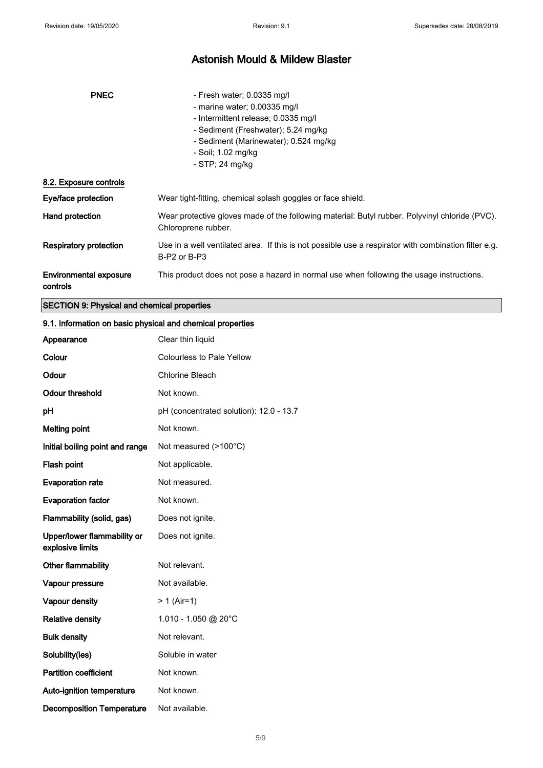| <b>PNEC</b>                               | - Fresh water; 0.0335 mg/l<br>- marine water; $0.00335$ mg/l<br>- Intermittent release; 0.0335 mg/l<br>- Sediment (Freshwater); 5.24 mg/kg<br>- Sediment (Marinewater); 0.524 mg/kg<br>- Soil; 1.02 mg/kg<br>- STP; 24 mg/kg |
|-------------------------------------------|------------------------------------------------------------------------------------------------------------------------------------------------------------------------------------------------------------------------------|
| 8.2. Exposure controls                    |                                                                                                                                                                                                                              |
| Eye/face protection                       | Wear tight-fitting, chemical splash goggles or face shield.                                                                                                                                                                  |
| Hand protection                           | Wear protective gloves made of the following material: Butyl rubber. Polyvinyl chloride (PVC).<br>Chloroprene rubber.                                                                                                        |
| Respiratory protection                    | Use in a well ventilated area. If this is not possible use a respirator with combination filter e.g.<br>B-P2 or B-P3                                                                                                         |
| <b>Environmental exposure</b><br>controls | This product does not pose a hazard in normal use when following the usage instructions.                                                                                                                                     |
|                                           |                                                                                                                                                                                                                              |

# SECTION 9: Physical and chemical properties

### 9.1. Information on basic physical and chemical properties

| Appearance                                      | Clear thin liquid                       |
|-------------------------------------------------|-----------------------------------------|
| Colour                                          | Colourless to Pale Yellow               |
| Odour                                           | Chlorine Bleach                         |
| <b>Odour threshold</b>                          | Not known.                              |
| pH                                              | pH (concentrated solution): 12.0 - 13.7 |
| <b>Melting point</b>                            | Not known.                              |
| Initial boiling point and range                 | Not measured (>100°C)                   |
| Flash point                                     | Not applicable.                         |
| <b>Evaporation rate</b>                         | Not measured.                           |
| <b>Evaporation factor</b>                       | Not known.                              |
| Flammability (solid, gas)                       | Does not ignite.                        |
| Upper/lower flammability or<br>explosive limits | Does not ignite.                        |
| Other flammability                              | Not relevant.                           |
| Vapour pressure                                 | Not available.                          |
| Vapour density                                  | $> 1$ (Air=1)                           |
| <b>Relative density</b>                         | 1.010 - 1.050 @ 20°C                    |
| <b>Bulk density</b>                             | Not relevant.                           |
| Solubility(ies)                                 | Soluble in water                        |
| <b>Partition coefficient</b>                    | Not known.                              |
| Auto-ignition temperature                       | Not known.                              |
| <b>Decomposition Temperature</b>                | Not available.                          |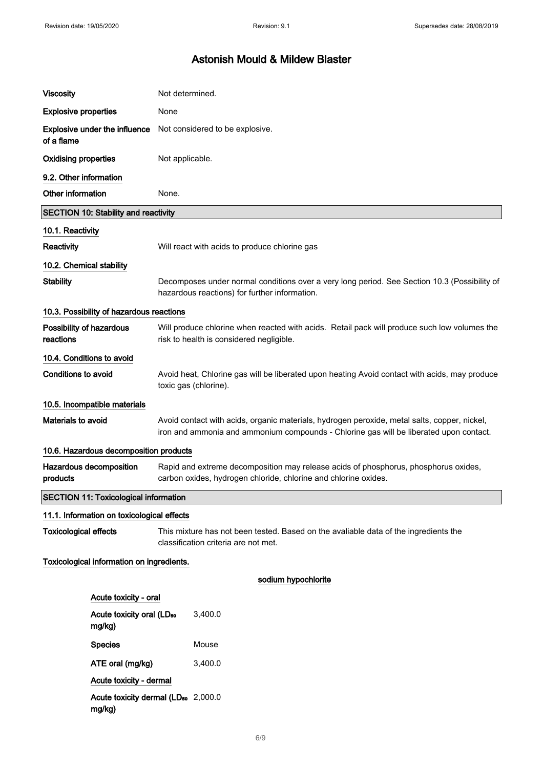| <b>Viscosity</b>                      |                                                                                                                                                                                   | Not determined.                                                                                                                                                                        |  |  |
|---------------------------------------|-----------------------------------------------------------------------------------------------------------------------------------------------------------------------------------|----------------------------------------------------------------------------------------------------------------------------------------------------------------------------------------|--|--|
| <b>Explosive properties</b>           |                                                                                                                                                                                   | None                                                                                                                                                                                   |  |  |
| of a flame                            | <b>Explosive under the influence</b>                                                                                                                                              | Not considered to be explosive.                                                                                                                                                        |  |  |
| <b>Oxidising properties</b>           |                                                                                                                                                                                   | Not applicable.                                                                                                                                                                        |  |  |
| 9.2. Other information                |                                                                                                                                                                                   |                                                                                                                                                                                        |  |  |
| Other information                     |                                                                                                                                                                                   | None.                                                                                                                                                                                  |  |  |
|                                       | <b>SECTION 10: Stability and reactivity</b>                                                                                                                                       |                                                                                                                                                                                        |  |  |
| 10.1. Reactivity                      |                                                                                                                                                                                   |                                                                                                                                                                                        |  |  |
| Reactivity                            |                                                                                                                                                                                   | Will react with acids to produce chlorine gas                                                                                                                                          |  |  |
| 10.2. Chemical stability              |                                                                                                                                                                                   |                                                                                                                                                                                        |  |  |
| <b>Stability</b>                      |                                                                                                                                                                                   | Decomposes under normal conditions over a very long period. See Section 10.3 (Possibility of<br>hazardous reactions) for further information.                                          |  |  |
|                                       | 10.3. Possibility of hazardous reactions                                                                                                                                          |                                                                                                                                                                                        |  |  |
| Possibility of hazardous<br>reactions |                                                                                                                                                                                   | Will produce chlorine when reacted with acids. Retail pack will produce such low volumes the<br>risk to health is considered negligible.                                               |  |  |
| 10.4. Conditions to avoid             |                                                                                                                                                                                   |                                                                                                                                                                                        |  |  |
|                                       | <b>Conditions to avoid</b><br>Avoid heat, Chlorine gas will be liberated upon heating Avoid contact with acids, may produce<br>toxic gas (chlorine).                              |                                                                                                                                                                                        |  |  |
|                                       | 10.5. Incompatible materials                                                                                                                                                      |                                                                                                                                                                                        |  |  |
| Materials to avoid                    |                                                                                                                                                                                   | Avoid contact with acids, organic materials, hydrogen peroxide, metal salts, copper, nickel,<br>iron and ammonia and ammonium compounds - Chlorine gas will be liberated upon contact. |  |  |
|                                       | 10.6. Hazardous decomposition products                                                                                                                                            |                                                                                                                                                                                        |  |  |
| products                              | Hazardous decomposition<br>Rapid and extreme decomposition may release acids of phosphorus, phosphorus oxides,<br>carbon oxides, hydrogen chloride, chlorine and chlorine oxides. |                                                                                                                                                                                        |  |  |
|                                       | SECTION 11: Toxicological information                                                                                                                                             |                                                                                                                                                                                        |  |  |
|                                       | 11.1. Information on toxicological effects                                                                                                                                        |                                                                                                                                                                                        |  |  |
| <b>Toxicological effects</b>          |                                                                                                                                                                                   | This mixture has not been tested. Based on the avaliable data of the ingredients the<br>classification criteria are not met.                                                           |  |  |
|                                       | Toxicological information on ingredients.                                                                                                                                         |                                                                                                                                                                                        |  |  |
|                                       |                                                                                                                                                                                   | sodium hypochlorite                                                                                                                                                                    |  |  |
|                                       | Acute toxicity - oral                                                                                                                                                             |                                                                                                                                                                                        |  |  |
|                                       | Acute toxicity oral (LD <sub>50</sub><br>mg/kg)                                                                                                                                   | 3,400.0                                                                                                                                                                                |  |  |
|                                       | <b>Species</b>                                                                                                                                                                    | Mouse                                                                                                                                                                                  |  |  |
|                                       | ATE oral (mg/kg)                                                                                                                                                                  | 3,400.0                                                                                                                                                                                |  |  |
|                                       | Acute toxicity - dermal                                                                                                                                                           |                                                                                                                                                                                        |  |  |
|                                       | Acute toxicity dermal (LD <sub>50</sub> 2,000.0<br>mg/kg)                                                                                                                         |                                                                                                                                                                                        |  |  |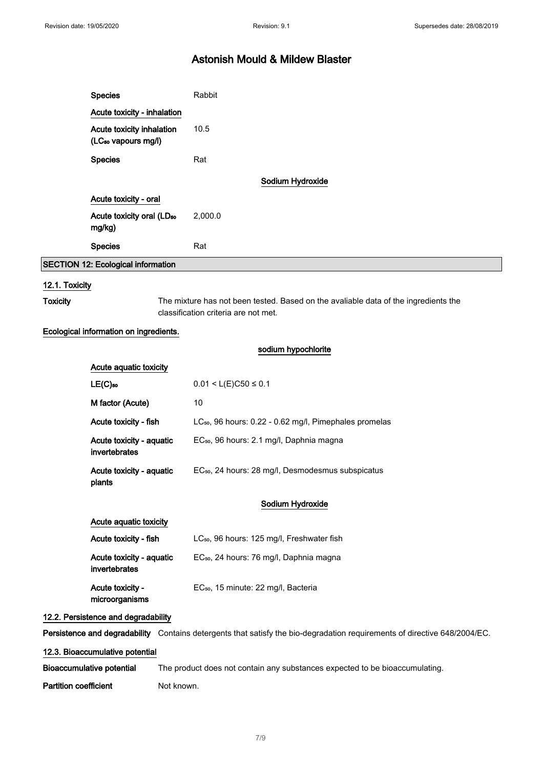| <b>Species</b>                                               | Rabbit  |                  |  |
|--------------------------------------------------------------|---------|------------------|--|
| Acute toxicity - inhalation                                  |         |                  |  |
| Acute toxicity inhalation<br>(LC <sub>50</sub> vapours mg/l) | 10.5    |                  |  |
| <b>Species</b>                                               | Rat     |                  |  |
|                                                              |         | Sodium Hydroxide |  |
| Acute toxicity - oral                                        |         |                  |  |
| Acute toxicity oral (LD <sub>50</sub><br>mg/kg)              | 2,000.0 |                  |  |
| <b>Species</b>                                               | Rat     |                  |  |
| SECTION 12: Ecological information                           |         |                  |  |

#### 12.1. Toxicity

Toxicity The mixture has not been tested. Based on the avaliable data of the ingredients the classification criteria are not met.

#### Ecological information on ingredients.

|                                           | sodium hypochlorite                                                |  |  |
|-------------------------------------------|--------------------------------------------------------------------|--|--|
| Acute aquatic toxicity                    |                                                                    |  |  |
| $LE(C)_{50}$                              | $0.01 < L(E)C50 \le 0.1$                                           |  |  |
| M factor (Acute)                          | 10                                                                 |  |  |
| Acute toxicity - fish                     | LC <sub>50</sub> , 96 hours: 0.22 - 0.62 mg/l, Pimephales promelas |  |  |
| Acute toxicity - aquatic<br>invertebrates | EC <sub>50</sub> , 96 hours: 2.1 mg/l, Daphnia magna               |  |  |
| Acute toxicity - aquatic<br>plants        | EC <sub>50</sub> , 24 hours: 28 mg/l, Desmodesmus subspicatus      |  |  |
|                                           | Sodium Hydroxide                                                   |  |  |
| Acute aquatic toxicity                    |                                                                    |  |  |
| Acute toxicity - fish                     | LC <sub>50</sub> , 96 hours: 125 mg/l, Freshwater fish             |  |  |
| Acute toxicity - aquatic<br>invertebrates | EC <sub>50</sub> , 24 hours: 76 mg/l, Daphnia magna                |  |  |
| Acute toxicity -<br>microorganisms        | EC <sub>50</sub> , 15 minute: 22 mg/l, Bacteria                    |  |  |

### 12.2. Persistence and degradability

Persistence and degradability Contains detergents that satisfy the bio-degradation requirements of directive 648/2004/EC.

#### 12.3. Bioaccumulative potential

Bioaccumulative potential The product does not contain any substances expected to be bioaccumulating.

Partition coefficient Not known.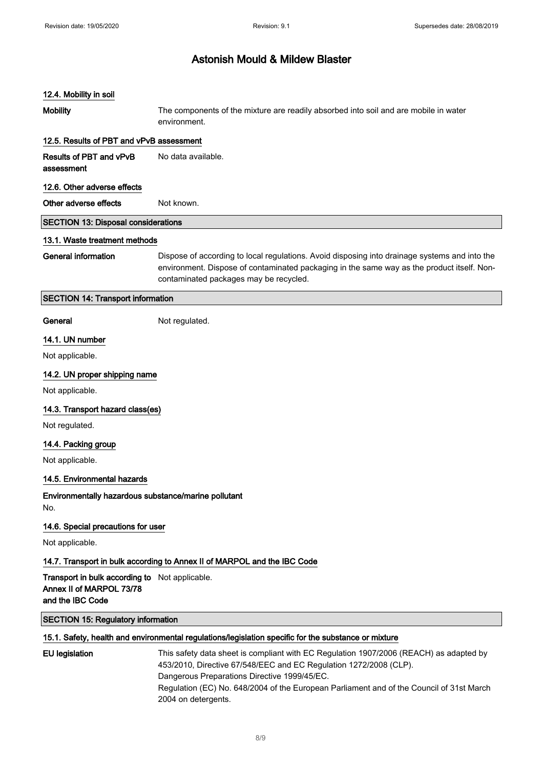# 12.4. Mobility in soil Mobility The components of the mixture are readily absorbed into soil and are mobile in water environment. 12.5. Results of PBT and vPvB assessment Results of PBT and vPvB assessment No data available. 12.6. Other adverse effects Other adverse effects Not known. SECTION 13: Disposal considerations 13.1. Waste treatment methods General information Dispose of according to local regulations. Avoid disposing into drainage systems and into the environment. Dispose of contaminated packaging in the same way as the product itself. Noncontaminated packages may be recycled. SECTION 14: Transport information General Not regulated. 14.1. UN number Not applicable. 14.2. UN proper shipping name Not applicable. 14.3. Transport hazard class(es) Not regulated. 14.4. Packing group Not applicable. 14.5. Environmental hazards Environmentally hazardous substance/marine pollutant No. 14.6. Special precautions for user Not applicable. 14.7. Transport in bulk according to Annex II of MARPOL and the IBC Code Transport in bulk according to Not applicable. Annex II of MARPOL 73/78 and the IBC Code SECTION 15: Regulatory information 15.1. Safety, health and environmental regulations/legislation specific for the substance or mixture EU legislation This safety data sheet is compliant with EC Regulation 1907/2006 (REACH) as adapted by 453/2010, Directive 67/548/EEC and EC Regulation 1272/2008 (CLP). Dangerous Preparations Directive 1999/45/EC. Regulation (EC) No. 648/2004 of the European Parliament and of the Council of 31st March 2004 on detergents.